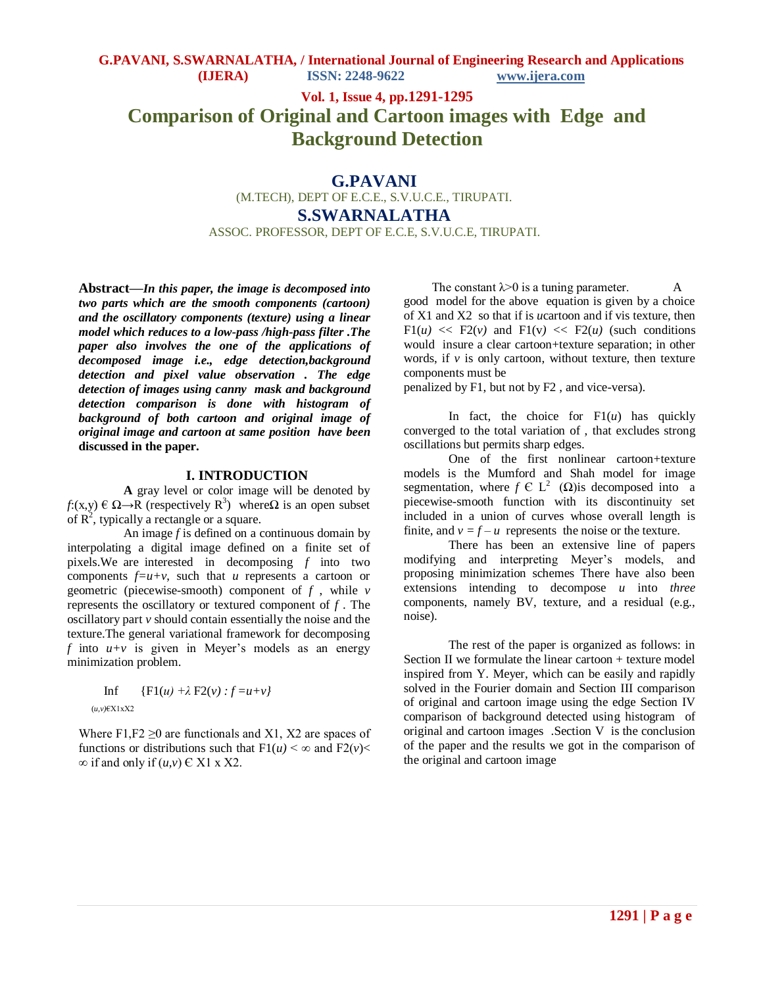**Vol. 1, Issue 4, pp.1291-1295**

# **Comparison of Original and Cartoon images with Edge and Background Detection**

**G.PAVANI**

(M.TECH), DEPT OF E.C.E., S.V.U.C.E., TIRUPATI.

**S.SWARNALATHA**

ASSOC. PROFESSOR, DEPT OF E.C.E, S.V.U.C.E, TIRUPATI.

**Abstract—***In this paper, the image is decomposed into two parts which are the smooth components (cartoon) and the oscillatory components (texture) using a linear model which reduces to a low-pass /high-pass filter .The paper also involves the one of the applications of decomposed image i.e., edge detection,background detection and pixel value observation . The edge detection of images using canny mask and background detection comparison is done with histogram of background of both cartoon and original image of original image and cartoon at same position have been* **discussed in the paper.** 

## **I. INTRODUCTION**

**A** gray level or color image will be denoted by *f*:(x,y)  $\in \Omega \rightarrow R$  (respectively R<sup>3</sup>) whereΩ is an open subset of  $\mathbb{R}^2$ , typically a rectangle or a square.

An image *f* is defined on a continuous domain by interpolating a digital image defined on a finite set of pixels.We are interested in decomposing *f* into two components  $f=u+v$ , such that *u* represents a cartoon or geometric (piecewise-smooth) component of *f* , while *v* represents the oscillatory or textured component of *f* . The oscillatory part *v* should contain essentially the noise and the texture.The general variational framework for decomposing *f* into  $u+v$  is given in Meyer's models as an energy minimization problem.

$$
\text{Inf} \{F1(u) + \lambda F2(v) : f = u + v\}
$$
\n
$$
\text{(u, v) } \in X1xX2
$$

 $(u, v)$ 

Where F1,  $F2 \ge 0$  are functionals and X1, X2 are spaces of functions or distributions such that  $F1(u) < \infty$  and  $F2(v) <$  $\infty$  if and only if  $(u, v) \in X1$  x X2.

The constant  $\lambda$  > 0 is a tuning parameter. good model for the above equation is given by a choice of X1 and X2 so that if is *u*cartoon and if vis texture, then  $F1(u) \ll F2(v)$  and  $F1(v) \ll F2(u)$  (such conditions would insure a clear cartoon+texture separation; in other words, if  $\nu$  is only cartoon, without texture, then texture components must be

penalized by F1, but not by F2 , and vice-versa).

In fact, the choice for  $F1(u)$  has quickly converged to the total variation of , that excludes strong oscillations but permits sharp edges.

One of the first nonlinear cartoon+texture models is the Mumford and Shah model for image segmentation, where  $f \in L^2(\Omega)$  is decomposed into a piecewise-smooth function with its discontinuity set included in a union of curves whose overall length is finite, and  $v = f - u$  represents the noise or the texture.

There has been an extensive line of papers modifying and interpreting Meyer's models, and proposing minimization schemes There have also been extensions intending to decompose *u* into *three*  components, namely BV, texture, and a residual (e.g., noise).

The rest of the paper is organized as follows: in Section II we formulate the linear cartoon + texture model inspired from Y. Meyer, which can be easily and rapidly solved in the Fourier domain and Section III comparison of original and cartoon image using the edge Section IV comparison of background detected using histogram of original and cartoon images .Section V is the conclusion of the paper and the results we got in the comparison of the original and cartoon image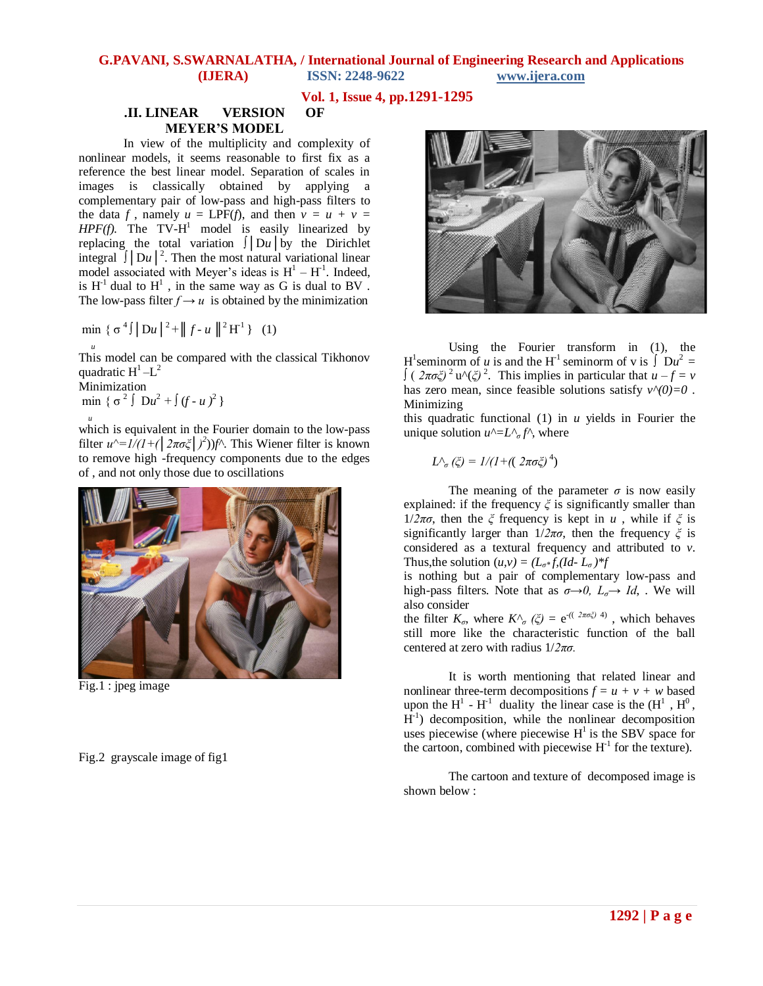**Vol. 1, Issue 4, pp.1291-1295**

## **.II. LINEAR VERSION OF MEYER'S MODEL**

 In view of the multiplicity and complexity of nonlinear models, it seems reasonable to first fix as a reference the best linear model. Separation of scales in images is classically obtained by applying a complementary pair of low-pass and high-pass filters to the data *f*, namely  $u = \text{LPF}(f)$ , and then  $v = u + v =$  $HPF(f)$ . The TV- $H^1$  model is easily linearized by replacing the total variation ∫│D*u*│by the Dirichlet integral  $\int |Du|^2$ . Then the most natural variational linear model associated with Meyer's ideas is  $H^1 - H^1$ . Indeed, is  $H<sup>-1</sup>$  dual to  $H<sup>1</sup>$ , in the same way as G is dual to BV. The low-pass filter  $f \rightarrow u$  is obtained by the minimization

min  $\{\sigma^4\}$   $\|Du\|^2$  +  $\|f-u\|^2$  H<sup>-1</sup> } (1)

This model can be compared with the classical Tikhonov quadratic  $H^1 - L^2$ 

Minimization  $\min \ \{ \sigma^2 \int Du^2 + \int (f - u)^2 \}$ 

*<sup>u</sup>*

 *<sup>u</sup>* which is equivalent in the Fourier domain to the low-pass filter  $u^{\wedge}=1/(1+(\frac{2\pi\sigma\xi}{})^2)$  *f*<sup>1</sup>. This Wiener filter is known to remove high -frequency components due to the edges of , and not only those due to oscillations



Fig.1 : jpeg image

Fig.2 grayscale image of fig1



Using the Fourier transform in (1), the H<sup>1</sup> seminorm of *u* is and the H<sup>-1</sup> seminorm of v is  $\int Du^2 =$  $\int$  (  $2\pi\sigma\xi$ )<sup>2</sup> u<sup> $\wedge$ </sup>( $\xi$ )<sup>2</sup>. This implies in particular that  $u - f = v$ has zero mean, since feasible solutions satisfy  $v^{\wedge}(0)=0$ . Minimizing

this quadratic functional (1) in *u* yields in Fourier the unique solution  $u^{\wedge} = L^{\wedge}{}_{\sigma} f^{\wedge}$ , where

$$
L^{\wedge}_{\sigma}(\zeta) = 1/(1 + ((2\pi\sigma\zeta)^4)
$$

The meaning of the parameter  $\sigma$  is now easily explained: if the frequency *ξ* is significantly smaller than 1/2πσ, then the *ξ* frequency is kept in *u*, while if  $\zeta$  is significantly larger than 1/*2πσ*, then the frequency *ξ* is considered as a textural frequency and attributed to *v*. Thus, the solution  $(u, v) = (L_{\sigma^*} f, (Id - L_{\sigma})^* f)$ 

is nothing but a pair of complementary low-pass and high-pass filters. Note that as  $\sigma \rightarrow 0$ ,  $L_{\sigma} \rightarrow Id$ , We will also consider

the filter  $K_{\sigma}$ , where  $K^{\wedge}{}_{\sigma}$  ( $\xi$ ) = e<sup>-((2πσζ)</sup><sup>4)</sup>, which behaves still more like the characteristic function of the ball centered at zero with radius 1/*2πσ.*

It is worth mentioning that related linear and nonlinear three-term decompositions  $f = u + v + w$  based upon the  $H^1$  -  $H^{-1}$  duality the linear case is the  $(H^1, H^0,$  $\overline{H}^{-1}$ ) decomposition, while the nonlinear decomposition uses piecewise (where piecewise  $H^1$  is the SBV space for the cartoon, combined with piecewise  $H<sup>1</sup>$  for the texture).

The cartoon and texture of decomposed image is shown below :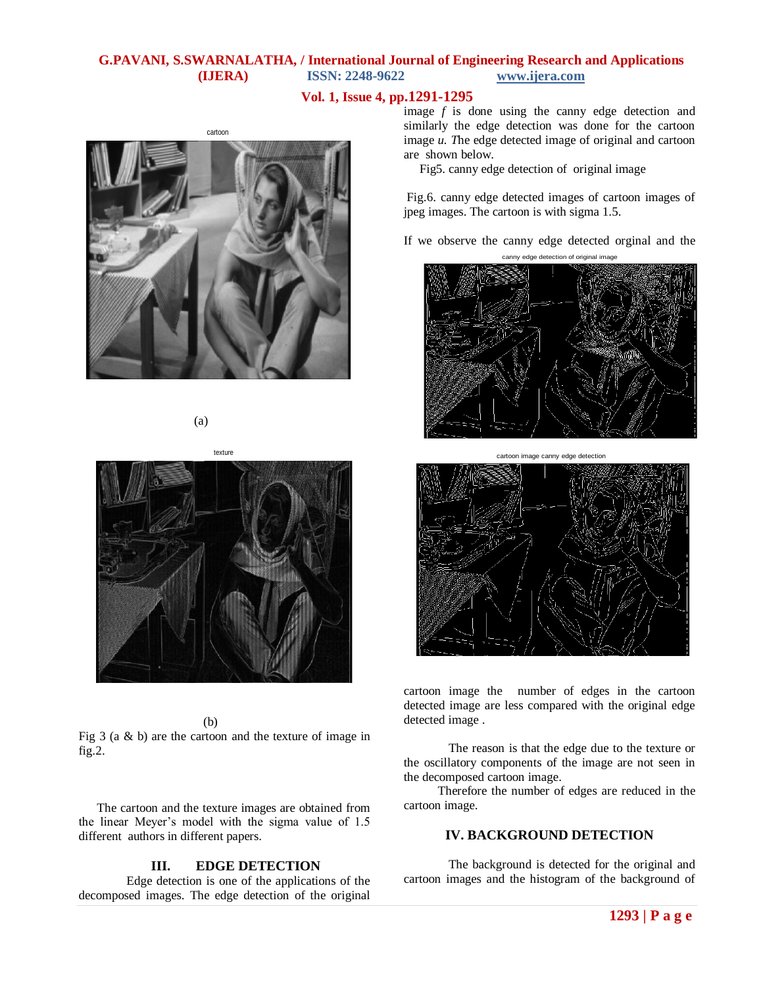# **Vol. 1, Issue 4, pp.1291-1295**

(a)

(b)

Fig 3 (a & b) are the cartoon and the texture of image in fig.2.

 The cartoon and the texture images are obtained from the linear Meyer's model with the sigma value of 1.5 different authors in different papers.

# **III. EDGE DETECTION**

Edge detection is one of the applications of the decomposed images. The edge detection of the original image *f* is done using the canny edge detection and similarly the edge detection was done for the cartoon image *u. T*he edge detected image of original and cartoon are shown below.

Fig5. canny edge detection of original image

Fig.6. canny edge detected images of cartoon images of jpeg images. The cartoon is with sigma 1.5.

If we observe the canny edge detected orginal and the





cartoon image the number of edges in the cartoon detected image are less compared with the original edge detected image .

The reason is that the edge due to the texture or the oscillatory components of the image are not seen in the decomposed cartoon image.

 Therefore the number of edges are reduced in the cartoon image.

# **IV. BACKGROUND DETECTION**

The background is detected for the original and cartoon images and the histogram of the background of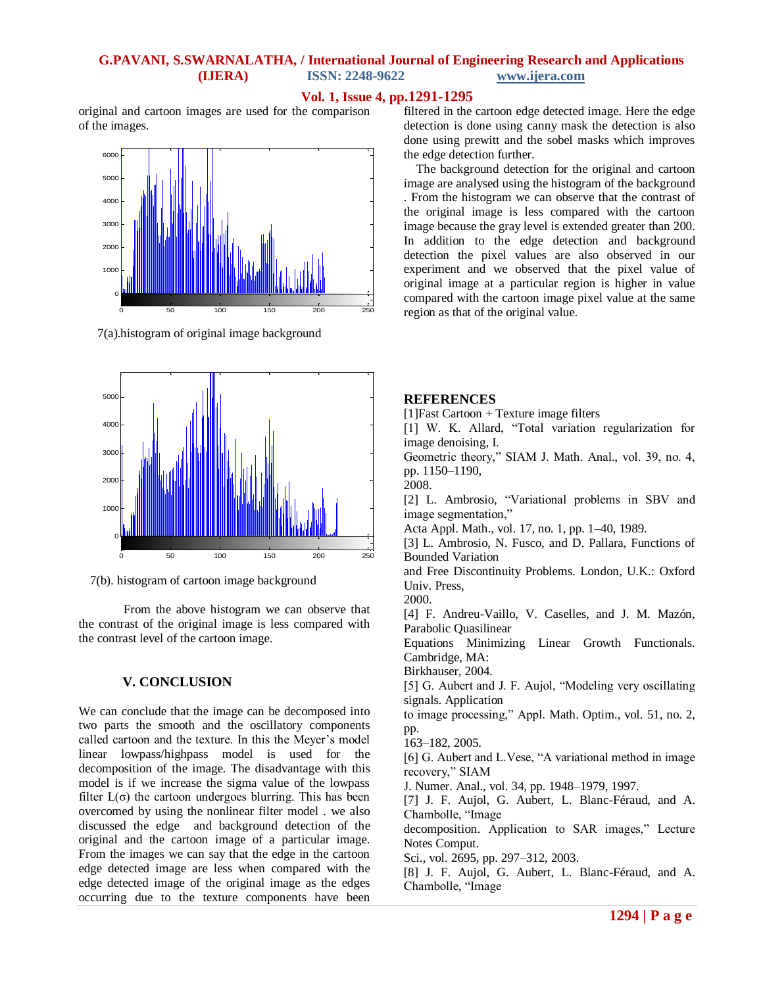## **Vol. 1, Issue 4, pp.1291-1295**

original and cartoon images are used for the comparison of the images.



7(a).histogram of original image background



7(b). histogram of cartoon image background

From the above histogram we can observe that the contrast of the original image is less compared with the contrast level of the cartoon image.

#### **V. CONCLUSION**

We can conclude that the image can be decomposed into two parts the smooth and the oscillatory components called cartoon and the texture. In this the Meyer's model linear lowpass/highpass model is used for the decomposition of the image. The disadvantage with this model is if we increase the sigma value of the lowpass filter  $L(\sigma)$  the cartoon undergoes blurring. This has been overcomed by using the nonlinear filter model . we also discussed the edge and background detection of the original and the cartoon image of a particular image. From the images we can say that the edge in the cartoon edge detected image are less when compared with the edge detected image of the original image as the edges occurring due to the texture components have been filtered in the cartoon edge detected image. Here the edge detection is done using canny mask the detection is also done using prewitt and the sobel masks which improves the edge detection further.

 The background detection for the original and cartoon image are analysed using the histogram of the background . From the histogram we can observe that the contrast of the original image is less compared with the cartoon image because the gray level is extended greater than 200. In addition to the edge detection and background detection the pixel values are also observed in our experiment and we observed that the pixel value of original image at a particular region is higher in value compared with the cartoon image pixel value at the same region as that of the original value.

#### **REFERENCES**

 $[1]Fast$  Cartoon + Texture image filters

[1] W. K. Allard, "Total variation regularization for image denoising, I.

Geometric theory," SIAM J. Math. Anal., vol. 39, no. 4, pp. 1150–1190,

2008.

[2] L. Ambrosio, "Variational problems in SBV and image segmentation,"

Acta Appl. Math., vol. 17, no. 1, pp. 1–40, 1989.

[3] L. Ambrosio, N. Fusco, and D. Pallara, Functions of Bounded Variation

and Free Discontinuity Problems. London, U.K.: Oxford Univ. Press,

2000.

[4] F. Andreu-Vaillo, V. Caselles, and J. M. Mazón, Parabolic Quasilinear

Equations Minimizing Linear Growth Functionals. Cambridge, MA:

Birkhauser, 2004.

[5] G. Aubert and J. F. Aujol, "Modeling very oscillating signals. Application

to image processing," Appl. Math. Optim., vol. 51, no. 2, pp.

163–182, 2005.

[6] G. Aubert and L. Vese, "A variational method in image recovery," SIAM

J. Numer. Anal., vol. 34, pp. 1948–1979, 1997.

[7] J. F. Aujol, G. Aubert, L. Blanc-Féraud, and A. Chambolle, "Image

decomposition. Application to SAR images," Lecture Notes Comput.

Sci., vol. 2695, pp. 297–312, 2003.

[8] J. F. Aujol, G. Aubert, L. Blanc-Féraud, and A. Chambolle, "Image